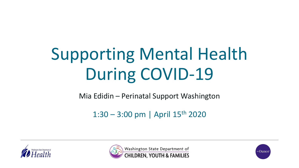# Supporting Mental Health During COVID-19

Mia Edidin – Perinatal Support Washington

 $1:30 - 3:00$  pm | April  $15$ <sup>th</sup> 2020





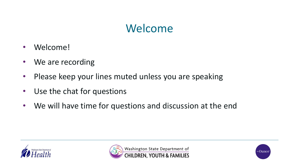### Welcome

- Welcome!
- We are recording
- Please keep your lines muted unless you are speaking
- Use the chat for questions
- We will have time for questions and discussion at the end





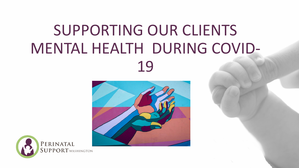# SUPPORTING OUR CLIENTS MENTAL HEALTH DURING COVID-19



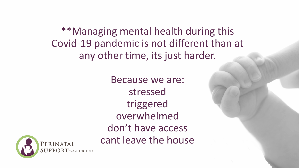\*\*Managing mental health during this Covid-19 pandemic is not different than at any other time, its just harder.

> Because we are: stressed triggered overwhelmed don't have access cant leave the house

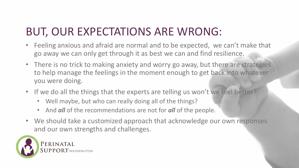### BUT, OUR EXPECTATIONS ARE WRONG:

- Feeling anxious and afraid are normal and to be expected, we can't make that go away we can only get through it as best we can and find resilience.
- There is no trick to making anxiety and worry go away, but there are strategies to help manage the feelings in the moment enough to get back into whatever you were doing.
- If we do all the things that the experts are telling us won't we feel better?
	- Well maybe, but who can really doing all of the things?
	- And *all* of the recommendations are not for *all* of the people.
- We should take a customized approach that acknowledge our own responses and our own strengths and challenges.

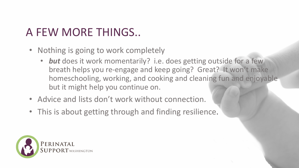### A FEW MORE THINGS..

- Nothing is going to work completely
	- **but** does it work momentarily? i.e. does getting outside for a few breath helps you re-engage and keep going? Great? It won't make homeschooling, working, and cooking and cleaning fun and enjoyable but it might help you continue on.
- Advice and lists don't work without connection.
- This is about getting through and finding resilience.

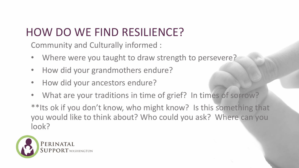### HOW DO WE FIND RESILIENCE?

Community and Culturally informed :

- Where were you taught to draw strength to persevere?
- How did your grandmothers endure?
- How did your ancestors endure?
- What are your traditions in time of grief? In times of sorrow?

\*\*Its ok if you don't know, who might know? Is this something that you would like to think about? Who could you ask? Where can you look?

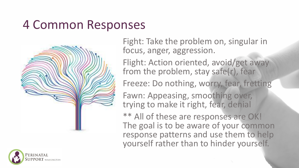### 4 Common Responses



Fight: Take the problem on, singular in focus, anger, aggression.

Flight: Action oriented, avoid/get away from the problem, stay safe(r), fear

Freeze: Do nothing, worry, fear, fretting

Fawn: Appeasing, smoothing over, trying to make it right, fear, denial

\*\* All of these are responses are OK! The goal is to be aware of your common response patterns and use them to help yourself rather than to hinder yourself.

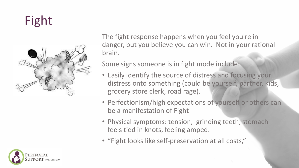# Fight



The fight response happens when you feel you're in danger, but you believe you can win. Not in your rational brain.

Some signs someone is in fight mode include:

- Easily identify the source of distress and focusing your distress onto something (could be yourself, partner, kids, grocery store clerk, road rage).
- Perfectionism/high expectations of yourself or others can be a manifestation of Fight
- Physical symptoms: tension, grinding teeth, stomach feels tied in knots, feeling amped.
- "Fight looks like self-preservation at all costs,"

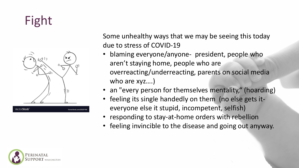## Fight



Some unhealthy ways that we may be seeing this today due to stress of COVID-19

- blaming everyone/anyone- president, people who aren't staying home, people who are overreacting/underreacting, parents on social media who are xyz….)
- an "every person for themselves mentality," (hoarding)
- feeling its single handedly on them (no else gets iteveryone else it stupid, incompetent, selfish)
- responding to stay-at-home orders with rebellion
- feeling invincible to the disease and going out anyway.

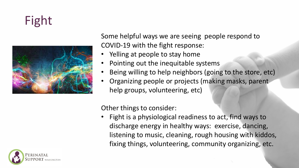# Fight



Some helpful ways we are seeing people respond to COVID-19 with the fight response:

- Yelling at people to stay home
- Pointing out the inequitable systems
- Being willing to help neighbors (going to the store, etc)
- Organizing people or projects (making masks, parent help groups, volunteering, etc)

Other things to consider:

• Fight is a physiological readiness to act, find ways to discharge energy in healthy ways: exercise, dancing, listening to music, cleaning, rough housing with kiddos, fixing things, volunteering, community organizing, etc.

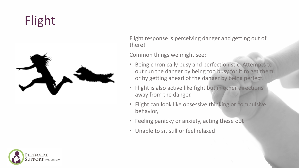## Flight



Flight response is perceiving danger and getting out of there!

Common things we might see:

- Being chronically busy and perfectionistic. Attempts to out run the danger by being too busy for it to get them, or by getting ahead of the danger by being perfect.
- Flight is also active like fight but in other directions away from the danger.
- Flight can look like obsessive thinking or compulsive behavior,
- Feeling panicky or anxiety, acting these out
- Unable to sit still or feel relaxed

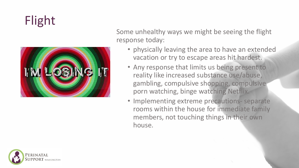# Flight



Some unhealthy ways we might be seeing the flight response today:

- physically leaving the area to have an extended vacation or try to escape areas hit hardest.
- Any response that limits us being present to reality like increased substance use/abuse, gambling, compulsive shopping, compulsive porn watching, binge watching Netflix.
- Implementing extreme precautions separate rooms within the house for immediate family members, not touching things in their own house.

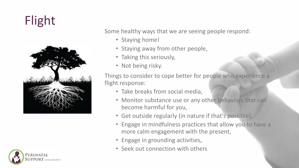# Flight





Some healthy ways that we are seeing people respond:

- Staying home!
- Staying away from other people,
- Taking this seriously,
- Not being risky.

Things to consider to cope better for people who experience a flight response:

- Take breaks from social media,
- Monitor substance use or any other behaviors that can become harmful for you,
- Get outside regularly (in nature if that's possible),
- Engage in mindfulness practices that allow you to have a more calm engagement with the present,
- Engage in grounding activities,
- Seek out connection with others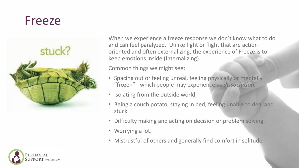### Freeze



When we experience a freeze response we don't know what to do and can feel paralyzed. Unlike fight or flight that are action oriented and often externalizing, the experience of Freeze is to keep emotions inside (Internalizing).

Common things we might see:

- Spacing out or feeling unreal, feeling physically or mentally "frozen"- which people may experience as *dissociation.*
- Isolating from the outside world,
- Being a couch potato, staying in bed, feeling unable to deal and stuck
- Difficulty making and acting on decision or problem solving.
- Worrying a lot.
- Mistrustful of others and generally find comfort in solitude.

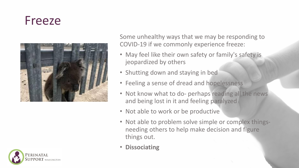### Freeze



Some unhealthy ways that we may be responding to COVID-19 if we commonly experience freeze:

- May feel like their own safety or family's safety is jeopardized by others
- Shutting down and staying in bed
- Feeling a sense of dread and hopelessness
- Not know what to do- perhaps reading all the news and being lost in it and feeling paralyzed
- Not able to work or be productive
- Not able to problem solve simple or complex thingsneeding others to help make decision and figure things out.
- **Dissociating**

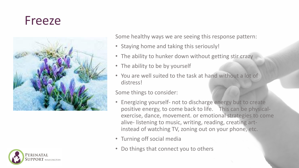### Freeze





Some healthy ways we are seeing this response pattern:

- Staying home and taking this seriously!
- The ability to hunker down without getting stir crazy
- The ability to be by yourself
- You are well suited to the task at hand without a lot of distress!

#### Some things to consider:

- Energizing yourself- not to discharge energy but to create positive energy, to come back to life. This can be physicalexercise, dance, movement. or emotional strategies to come alive- listening to music, writing, reading, creating artinstead of watching TV, zoning out on your phone, etc.
- Turning off social media
- Do things that connect you to others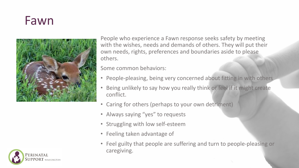### Fawn



People who experience a Fawn response seeks safety by meeting with the wishes, needs and demands of others. They will put their own needs, rights, preferences and boundaries aside to please others.

Some common behaviors:

- People-pleasing, being very concerned about fitting in with others
- Being unlikely to say how you really think or feel if it might create conflict.
- Caring for others (perhaps to your own detriment)
- Always saying "yes" to requests
- Struggling with low self-esteem
- Feeling taken advantage of
- Feel guilty that people are suffering and turn to people-pleasing or caregiving.

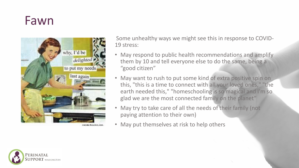### Fawn



ounds tainton, inc.

Some unhealthy ways we might see this in response to COVID-19 stress:

- May respond to public health recommendations and amplify them by 10 and tell everyone else to do the same, being a "good citizen"
- May want to rush to put some kind of extra positive spin on this, "this is a time to connect with all your loved ones," "the earth needed this," "homeschooling is so magical and I'm so glad we are the most connected family on the planet"
- May try to take care of all the needs of their family (not paying attention to their own)
- May put themselves at risk to help others

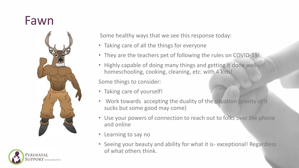### Fawn



**ERINATAL** 

Some healthy ways that we see this response today:

- Taking care of all the things for everyone
- They are the teachers pet of following the rules on COVID-19!
- Highly capable of doing many things and getting it done wellhomeschooling, cooking, cleaning, etc. with 4 kids!

Some things to consider:

- Taking care of yourself!
- Work towards accepting the duality of the situation (plenty of it sucks but some good may come)
- Use your powers of connection to reach out to folks over the phone and online
- Learning to say no
- Seeing your beauty and ability for what it is- exceptional! Regardless of what others think.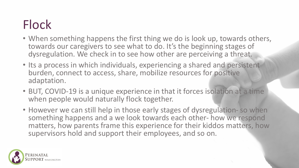## Flock

- When something happens the first thing we do is look up, towards others, towards our caregivers to see what to do. It's the beginning stages of dysregulation. We check in to see how other are perceiving a threat.
- Its a process in which individuals, experiencing a shared and persistent burden, connect to access, share, mobilize resources for positive adaptation.
- BUT, COVID-19 is a unique experience in that it forces isolation at a time when people would naturally flock together.
- However we can still help in those early stages of dysregulation- so when something happens and a we look towards each other- how we respond matters, how parents frame this experience for their kiddos matters, how supervisors hold and support their employees, and so on.

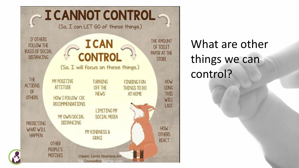

What are other things we can control?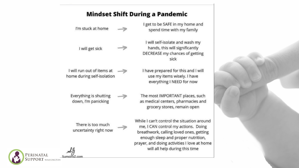#### **Mindset Shift During a Pandemic**

I get to be SAFE in my home and I'm stuck at home spend time with my family I will self-isolate and wash my hands, this will significantly I will get sick DECREASE my chances of getting sick I will run out of items at I have prepared for this and I will home during self-isolation use my items wisely. I have everything I NEED for now Everything is shutting The most IMPORTANT places, such down, I'm panicking as medical centers, pharmacies and grocery stores, remain open While I can't control the situation around There is too much me, I CAN control my actions. Doing uncertainty right now breathwork, calling loved ones, getting enough sleep and proper nutrition, prayer, and doing activities I love at home will all help during this time

PERINATAL SumgirgZ.com PORT WASILINGTON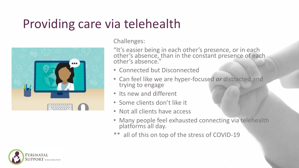### Providing care via telehealth



Challenges:

"It's easier being in each other's presence, or in each other's absence, than in the constant presence of each other's absence."

- Connected but Disconnected
- Can feel like we are hyper-focused *or* distracted and trying to engage
- Its new and different
- Some clients don't like it
- Not all clients have access
- Many people feel exhausted connecting via telehealth platforms all day.
- \*\* all of this on top of the stress of COVID-19

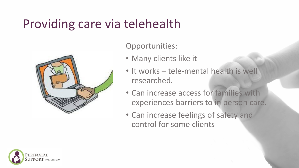### Providing care via telehealth



Opportunities:

- Many clients like it
- It works tele-mental health is well researched.
- Can increase access for families with experiences barriers to in person care.
- Can increase feelings of safety and control for some clients

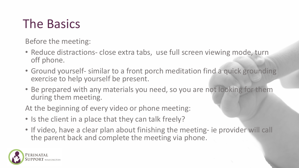## The Basics

Before the meeting:

- Reduce distractions- close extra tabs, use full screen viewing mode, turn off phone.
- Ground yourself- similar to a front porch meditation find a quick grounding exercise to help yourself be present.
- Be prepared with any materials you need, so you are not looking for them during them meeting.

At the beginning of every video or phone meeting:

- Is the client in a place that they can talk freely?
- If video, have a clear plan about finishing the meeting- ie provider will call the parent back and complete the meeting via phone.

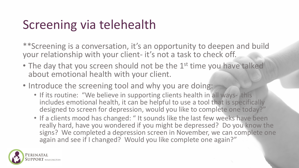### Screening via telehealth

\*\*Screening is a conversation, it's an opportunity to deepen and build your relationship with your client- it's not a task to check off.

- The day that you screen should not be the 1<sup>st</sup> time you have talked about emotional health with your client.
- Introduce the screening tool and why you are doing:
	- If its routine: "We believe in supporting clients health in all ways- this includes emotional health, it can be helpful to use a tool that is specifically designed to screen for depression, would you like to complete one today?"
	- If a clients mood has changed: "It sounds like the last few weeks have been really hard, have you wondered if you might be depressed? Do you know the signs? We completed a depression screen in November, we can complete one again and see if I changed? Would you like complete one again?"

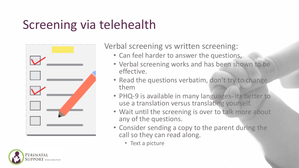## Screening via telehealth



Verbal screening vs written screening:

- Can feel harder to answer the questions,
- Verbal screening works and has been shown to be effective.
- Read the questions verbatim, don't try to change them
- PHQ-9 is available in many languages- its better to use a translation versus translating yourself.
- Wait until the screening is over to talk more about any of the questions.
- Consider sending a copy to the parent during the call so they can read along.
	- Text a picture

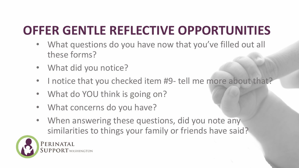## **OFFER GENTLE REFLECTIVE OPPORTUNITIES**

- What questions do you have now that you've filled out all these forms?
- What did you notice?
- I notice that you checked item #9- tell me more about that?
- What do YOU think is going on?
- What concerns do you have?
- When answering these questions, did you note any similarities to things your family or friends have said?



PERINATAL PPORT WASHINGTON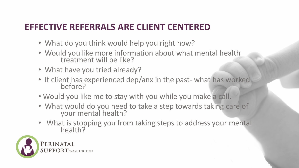### **EFFECTIVE REFERRALS ARE CLIENT CENTERED**

- What do you think would help you right now?
- Would you like more information about what mental health treatment will be like?
- What have you tried already?
- If client has experienced dep/anx in the past- what has worked before?
- Would you like me to stay with you while you make a call.
- What would do you need to take a step towards taking care of your mental health?
- What is stopping you from taking steps to address your mental health?

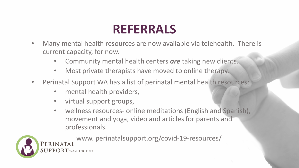### **REFERRALS**

- Many mental health resources are now available via telehealth. There is current capacity, for now.
	- Community mental health centers *are* taking new clients.
	- Most private therapists have moved to online therapy.
- Perinatal Support WA has a list of perinatal mental health resources:
	- mental health providers,
	- virtual support groups,
	- wellness resources- online meditations (English and Spanish), movement and yoga, video and articles for parents and professionals.



www. perinatalsupport.org/covid-19-resources/PERINATAL PPORT WASHINGTON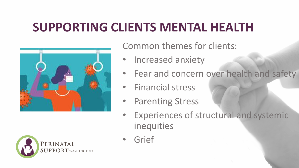### **SUPPORTING CLIENTS MENTAL HEALTH**





Common themes for clients:

- Increased anxiety
- Fear and concern over health and safety
- Financial stress
- Parenting Stress
- **Experiences of structural and systemic** inequities
- Grief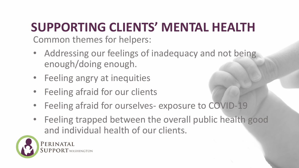## **SUPPORTING CLIENTS' MENTAL HEALTH**

Common themes for helpers:

- Addressing our feelings of inadequacy and not being enough/doing enough.
- Feeling angry at inequities
- Feeling afraid for our clients
- Feeling afraid for ourselves- exposure to COVID-19
- Feeling trapped between the overall public health good and individual health of our clients.



PERINATAL PPORT WASHINGTON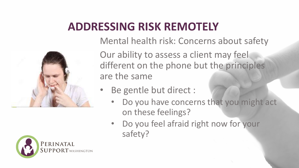### **ADDRESSING RISK REMOTELY**



Our ability to assess a client may feel different on the phone but the principles are the same

- Be gentle but direct :
	- Do you have concerns that you might act on these feelings?
	- Do you feel afraid right now for your safety?



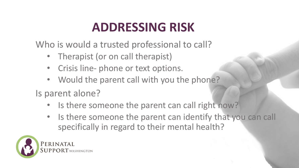## **ADDRESSING RISK**

Who is would a trusted professional to call?

- Therapist (or on call therapist)
- Crisis line- phone or text options.
- Would the parent call with you the phone?
- Is parent alone?
	- Is there someone the parent can call right now?
	- Is there someone the parent can identify that you can call specifically in regard to their mental health?

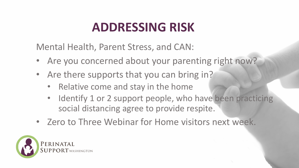## **ADDRESSING RISK**

Mental Health, Parent Stress, and CAN:

- Are you concerned about your parenting right now?
- Are there supports that you can bring in?
	- Relative come and stay in the home
	- Identify 1 or 2 support people, who have been practicing social distancing agree to provide respite.
- Zero to Three Webinar for Home visitors next week.

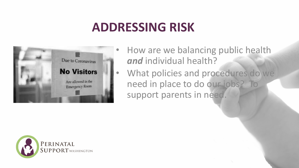### **ADDRESSING RISK**



- How are we balancing public health *and* individual health?
- What policies and procedures do we need in place to do our jobs? To support parents in need.

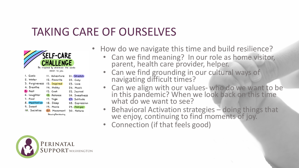### TAKING CARE OF OURSELVES





- Can we find meaning? In our role as home visitor, parent, health care provider, helper.
- Can we find grounding in our cultural ways of navigating difficult times?
- Can we align with our values- who do we want to be in this pandemic? When we look back on this time what do we want to see?
- Behavioral Activation strategies doing things that we enjoy, continuing to find moments of joy.
- Connection (if that feels good)